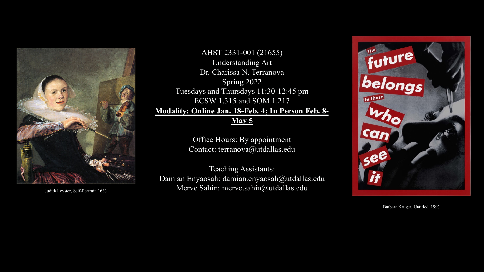

AHST 2331-001 (21655) Understanding Art Dr. Charissa N. Terranova Spring 2022 Tuesdays and Thursdays 11:30-12:45 pm ECSW 1.315 and SOM 1.217 **Modality: Online Jan. 18-Feb. 4; In Person Feb. 8- May 5**

> Office Hours: By appointment Contact: terranova@utdallas.edu

Teaching Assistants: Damian Enyaosah: damian.enyaosah@utdallas.edu Judith Leyster, Self-Portrait, 1633 Merve Sahin: merve.sahin@utdallas.edu



Barbara Kruger, Untitled, 1997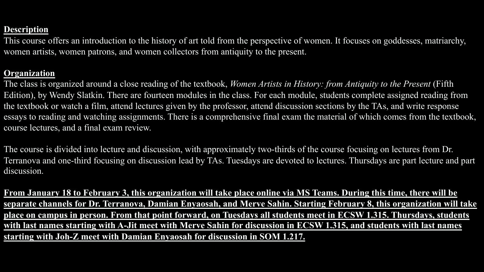### **Description**

This course offers an introduction to the history of art told from the perspective of women. It focuses on goddesses, matriarchy, women artists, women patrons, and women collectors from antiquity to the present.

#### **Organization**

The class is organized around a close reading of the textbook, *Women Artists in History: from Antiquity to the Present* (Fifth Edition), by Wendy Slatkin. There are fourteen modules in the class. For each module, students complete assigned reading from the textbook or watch a film, attend lectures given by the professor, attend discussion sections by the TAs, and write response essays to reading and watching assignments. There is a comprehensive final exam the material of which comes from the textbook, course lectures, and a final exam review.

The course is divided into lecture and discussion, with approximately two-thirds of the course focusing on lectures from Dr. Terranova and one-third focusing on discussion lead by TAs. Tuesdays are devoted to lectures. Thursdays are part lecture and part discussion.

**From January 18 to February 3, this organization will take place online via MS Teams. During this time, there will be separate channels for Dr. Terranova, Damian Enyaosah, and Merve Sahin. Starting February 8, this organization will take place on campus in person. From that point forward, on Tuesdays all students meet in ECSW 1.315. Thursdays, students with last names starting with A-Jit meet with Merve Sahin for discussion in ECSW 1.315, and students with last names starting with Joh-Z meet with Damian Enyaosah for discussion in SOM 1.217.**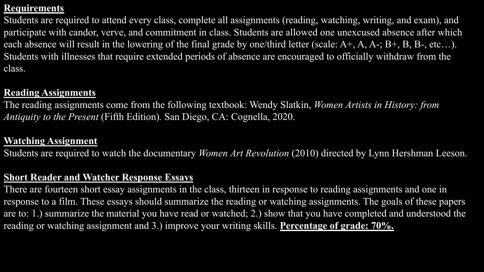## **Requirements**

Students are required to attend every class, complete all assignments (reading, watching, writing, and exam), and participate with candor, verve, and commitment in class. Students are allowed one unexcused absence after which each absence will result in the lowering of the final grade by one/third letter (scale:  $A^+$ ,  $A$ ,  $A^-$ ;  $B^+$ ,  $B$ ,  $B^-$ , etc...). Students with illnesses that require extended periods of absence are encouraged to officially withdraw from the class.

## **Reading Assignments**

The reading assignments come from the following textbook: Wendy Slatkin, *Women Artists in History: from Antiquity to the Present* (Fifth Edition)*.* San Diego, CA: Cognella, 2020.

# **Watching Assignment**

Students are required to watch the documentary *Women Art Revolution* (2010) directed by Lynn Hershman Leeson.

# **Short Reader and Watcher Response Essays**

There are fourteen short essay assignments in the class, thirteen in response to reading assignments and one in response to a film. These essays should summarize the reading or watching assignments. The goals of these papers are to: 1.) summarize the material you have read or watched; 2.) show that you have completed and understood the reading or watching assignment and 3.) improve your writing skills. **Percentage of grade: 70%.**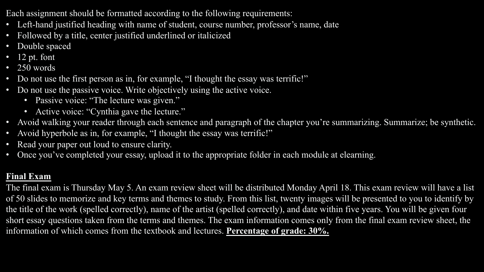Each assignment should be formatted according to the following requirements:

- Left-hand justified heading with name of student, course number, professor's name, date
- Followed by a title, center justified underlined or italicized
- Double spaced
- 12 pt. font
- 250 words
- Do not use the first person as in, for example, "I thought the essay was terrific!"
- Do not use the passive voice. Write objectively using the active voice.
	- Passive voice: "The lecture was given."
	- Active voice: "Cynthia gave the lecture."
- Avoid walking your reader through each sentence and paragraph of the chapter you're summarizing. Summarize; be synthetic.
- Avoid hyperbole as in, for example, "I thought the essay was terrific!"
- Read your paper out loud to ensure clarity.
- Once you've completed your essay, upload it to the appropriate folder in each module at elearning.

#### **Final Exam**

The final exam is Thursday May 5. An exam review sheet will be distributed Monday April 18. This exam review will have a list of 50 slides to memorize and key terms and themes to study. From this list, twenty images will be presented to you to identify by the title of the work (spelled correctly), name of the artist (spelled correctly), and date within five years. You will be given four short essay questions taken from the terms and themes. The exam information comes only from the final exam review sheet, the information of which comes from the textbook and lectures. **Percentage of grade: 30%.**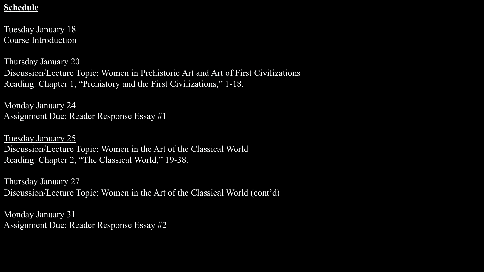#### **Schedule**

Tuesday January 18 Course Introduction

Thursday January 20 Discussion/Lecture Topic: Women in Prehistoric Art and Art of First Civilizations Reading: Chapter 1, "Prehistory and the First Civilizations," 1-18.

Monday January 24 Assignment Due: Reader Response Essay #1

Tuesday January 25 Discussion/Lecture Topic: Women in the Art of the Classical World Reading: Chapter 2, "The Classical World," 19-38.

Thursday January 27 Discussion/Lecture Topic: Women in the Art of the Classical World (cont'd)

Monday January 31 Assignment Due: Reader Response Essay #2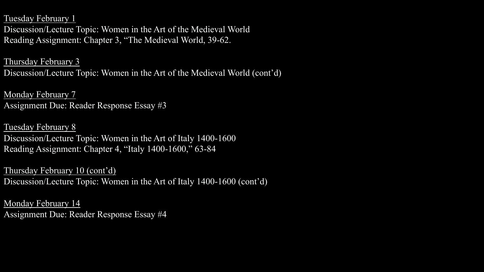Tuesday February 1

Discussion/Lecture Topic: Women in the Art of the Medieval World Reading Assignment: Chapter 3, "The Medieval World, 39-62.

Thursday February 3 Discussion/Lecture Topic: Women in the Art of the Medieval World (cont'd)

Monday February 7 Assignment Due: Reader Response Essay #3

Tuesday February 8 Discussion/Lecture Topic: Women in the Art of Italy 1400-1600 Reading Assignment: Chapter 4, "Italy 1400-1600," 63-84

Thursday February 10 (cont'd) Discussion/Lecture Topic: Women in the Art of Italy 1400-1600 (cont'd)

Monday February 14 Assignment Due: Reader Response Essay #4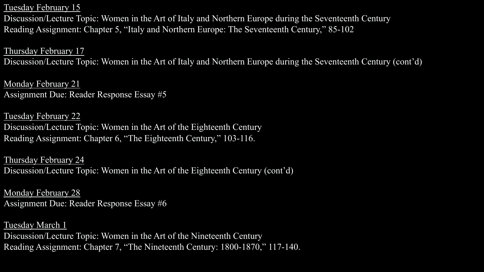Tuesday February 15

Discussion/Lecture Topic: Women in the Art of Italy and Northern Europe during the Seventeenth Century Reading Assignment: Chapter 5, "Italy and Northern Europe: The Seventeenth Century," 85-102

Thursday February 17

Discussion/Lecture Topic: Women in the Art of Italy and Northern Europe during the Seventeenth Century (cont'd)

Monday February 21 Assignment Due: Reader Response Essay #5

Tuesday February 22 Discussion/Lecture Topic: Women in the Art of the Eighteenth Century Reading Assignment: Chapter 6, "The Eighteenth Century," 103-116.

Thursday February 24 Discussion/Lecture Topic: Women in the Art of the Eighteenth Century (cont'd)

Monday February 28 Assignment Due: Reader Response Essay #6

Tuesday March 1 Discussion/Lecture Topic: Women in the Art of the Nineteenth Century Reading Assignment: Chapter 7, "The Nineteenth Century: 1800-1870," 117-140.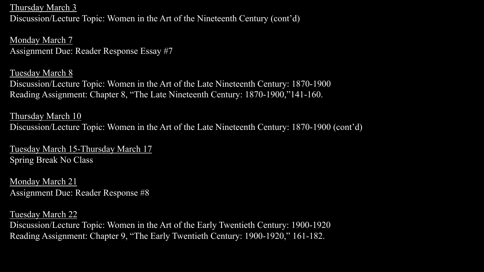Thursday March 3 Discussion/Lecture Topic: Women in the Art of the Nineteenth Century (cont'd)

Monday March 7 Assignment Due: Reader Response Essay #7

Tuesday March 8 Discussion/Lecture Topic: Women in the Art of the Late Nineteenth Century: 1870-1900 Reading Assignment: Chapter 8, "The Late Nineteenth Century: 1870-1900,"141-160.

Thursday March 10 Discussion/Lecture Topic: Women in the Art of the Late Nineteenth Century: 1870-1900 (cont'd)

Tuesday March 15-Thursday March 17 Spring Break No Class

Monday March 21 Assignment Due: Reader Response #8

Tuesday March 22 Discussion/Lecture Topic: Women in the Art of the Early Twentieth Century: 1900-1920 Reading Assignment: Chapter 9, "The Early Twentieth Century: 1900-1920," 161-182.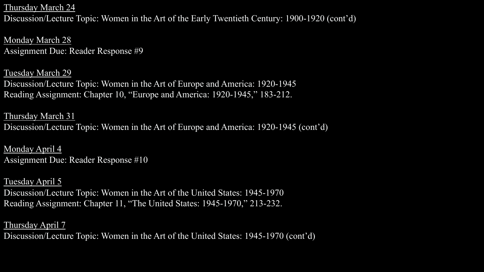Thursday March 24

Discussion/Lecture Topic: Women in the Art of the Early Twentieth Century: 1900-1920 (cont'd)

Monday March 28 Assignment Due: Reader Response #9

Tuesday March 29 Discussion/Lecture Topic: Women in the Art of Europe and America: 1920-1945 Reading Assignment: Chapter 10, "Europe and America: 1920-1945," 183-212.

Thursday March 31 Discussion/Lecture Topic: Women in the Art of Europe and America: 1920-1945 (cont'd)

Monday April 4 Assignment Due: Reader Response #10

Tuesday April 5 Discussion/Lecture Topic: Women in the Art of the United States: 1945-1970 Reading Assignment: Chapter 11, "The United States: 1945-1970," 213-232.

Thursday April 7 Discussion/Lecture Topic: Women in the Art of the United States: 1945-1970 (cont'd)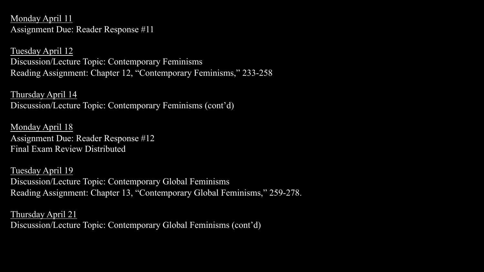Monday April 11 Assignment Due: Reader Response #11

Tuesday April 12 Discussion/Lecture Topic: Contemporary Feminisms Reading Assignment: Chapter 12, "Contemporary Feminisms," 233-258

Thursday April 14 Discussion/Lecture Topic: Contemporary Feminisms (cont'd)

Monday April 18 Assignment Due: Reader Response #12 Final Exam Review Distributed

Tuesday April 19 Discussion/Lecture Topic: Contemporary Global Feminisms Reading Assignment: Chapter 13, "Contemporary Global Feminisms," 259-278.

Thursday April 21 Discussion/Lecture Topic: Contemporary Global Feminisms (cont'd)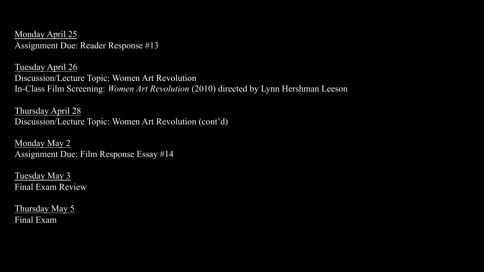Monday April 25 Assignment Due: Reader Response #13

Tuesday April 26 Discussion/Lecture Topic: Women Art Revolution In-Class Film Screening: *Women Art Revolution* (2010) directed by Lynn Hershman Leeson

Thursday April 28 Discussion/Lecture Topic: Women Art Revolution (cont'd)

Monday May 2 Assignment Due: Film Response Essay #14

Tuesday May 3 Final Exam Review

Thursday May 5 Final Exam